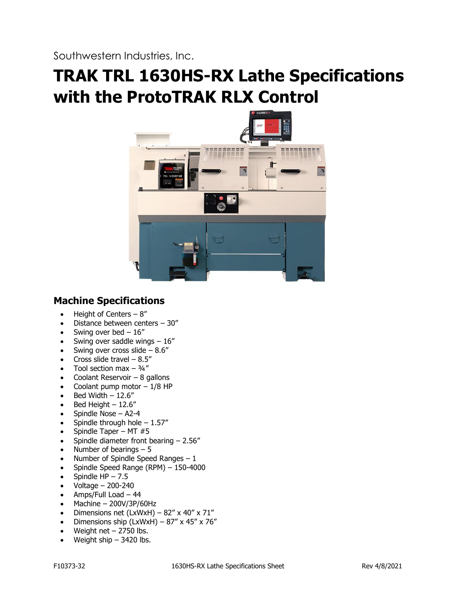Southwestern Industries, Inc.

# **TRAK TRL 1630HS-RX Lathe Specifications with the ProtoTRAK RLX Control**



# **Machine Specifications**

- Height of Centers  $-8$ "
- Distance between centers 30"
- Swing over bed  $-16$ "
- Swing over saddle wings  $-16$ "
- Swing over cross slide  $-8.6$ "
- Cross slide travel  $-8.5$ "
- Tool section max  $-$  3/4"
- Coolant Reservoir  $-8$  gallons
- Coolant pump motor  $-1/8$  HP
- Bed Width  $-12.6"$
- Bed Height  $-12.6"$
- Spindle Nose A2-4
- Spindle through hole  $-1.57''$
- Spindle Taper MT  $#5$
- Spindle diameter front bearing 2.56"
- Number of bearings  $-5$
- Number of Spindle Speed Ranges  $-1$
- Spindle Speed Range (RPM) 150-4000
- Spindle  $HP 7.5$
- Voltage 200-240
- Amps/Full Load 44
- Machine 200V/3P/60Hz
- Dimensions net (LxWxH)  $82''$  x  $40''$  x  $71''$
- Dimensions ship  $(LxWxH) 87''$  x 45" x 76"
- Weight net  $-$  2750 lbs.
- Weight ship  $-$  3420 lbs.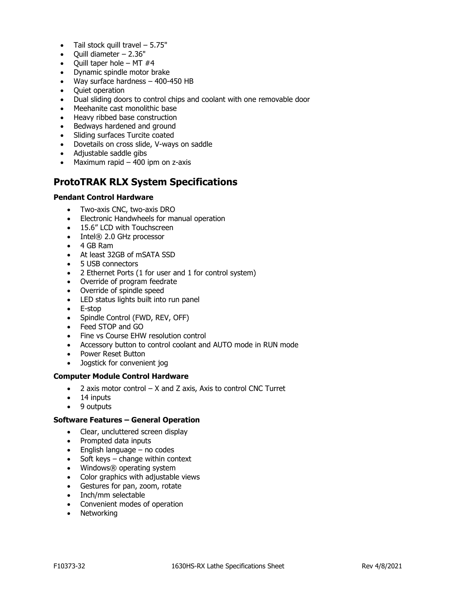- Tail stock quill travel  $-5.75"$
- $\bullet$  Ouill diameter  $-2.36"$
- Quill taper hole MT  $#4$
- Dynamic spindle motor brake
- Way surface hardness 400-450 HB
- Quiet operation
- Dual sliding doors to control chips and coolant with one removable door
- Meehanite cast monolithic base
- Heavy ribbed base construction
- Bedways hardened and ground
- Sliding surfaces Turcite coated
- Dovetails on cross slide, V-ways on saddle
- Adjustable saddle gibs
- Maximum rapid  $-$  400 ipm on z-axis

# **ProtoTRAK RLX System Specifications**

# **Pendant Control Hardware**

- Two-axis CNC, two-axis DRO
- Electronic Handwheels for manual operation
- 15.6" LCD with Touchscreen
- Intel® 2.0 GHz processor
- 4 GB Ram
- At least 32GB of mSATA SSD
- 5 USB connectors
- 2 Ethernet Ports (1 for user and 1 for control system)
- Override of program feedrate
- Override of spindle speed
- LED status lights built into run panel
- E-stop
- Spindle Control (FWD, REV, OFF)
- Feed STOP and GO
- Fine vs Course EHW resolution control
- Accessory button to control coolant and AUTO mode in RUN mode
- Power Reset Button
- Jogstick for convenient jog

#### **Computer Module Control Hardware**

- $\bullet$  2 axis motor control  $-$  X and Z axis, Axis to control CNC Turret
- 14 inputs
- 9 outputs

# **Software Features – General Operation**

- Clear, uncluttered screen display
- Prompted data inputs
- English language no codes
- Soft keys change within context
- Windows® operating system
- Color graphics with adjustable views
- Gestures for pan, zoom, rotate
- Inch/mm selectable
- Convenient modes of operation
- Networking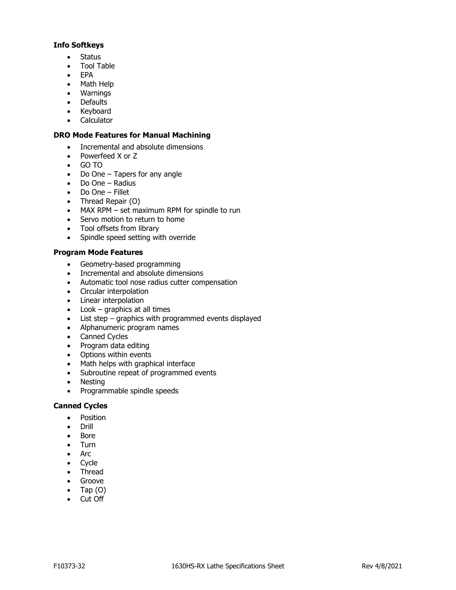# **Info Softkeys**

- Status
- Tool Table
- EPA
- Math Help
- Warnings
- Defaults
- Keyboard
- Calculator

# **DRO Mode Features for Manual Machining**

- Incremental and absolute dimensions
- Powerfeed X or Z
- GO TO
- Do One Tapers for any angle
- Do One Radius
- Do One Fillet
- Thread Repair (O)
- MAX RPM set maximum RPM for spindle to run
- Servo motion to return to home
- Tool offsets from library
- Spindle speed setting with override

# **Program Mode Features**

- Geometry-based programming
- Incremental and absolute dimensions
- Automatic tool nose radius cutter compensation
- Circular interpolation
- Linear interpolation
- Look graphics at all times
- List step graphics with programmed events displayed
- Alphanumeric program names
- Canned Cycles
- Program data editing
- Options within events
- Math helps with graphical interface
- Subroutine repeat of programmed events
- Nesting
- Programmable spindle speeds

# **Canned Cycles**

- Position
- Drill
- Bore
- Turn
- Arc
- Cycle
- Thread
- Groove
- Tap  $(O)$
- Cut Off